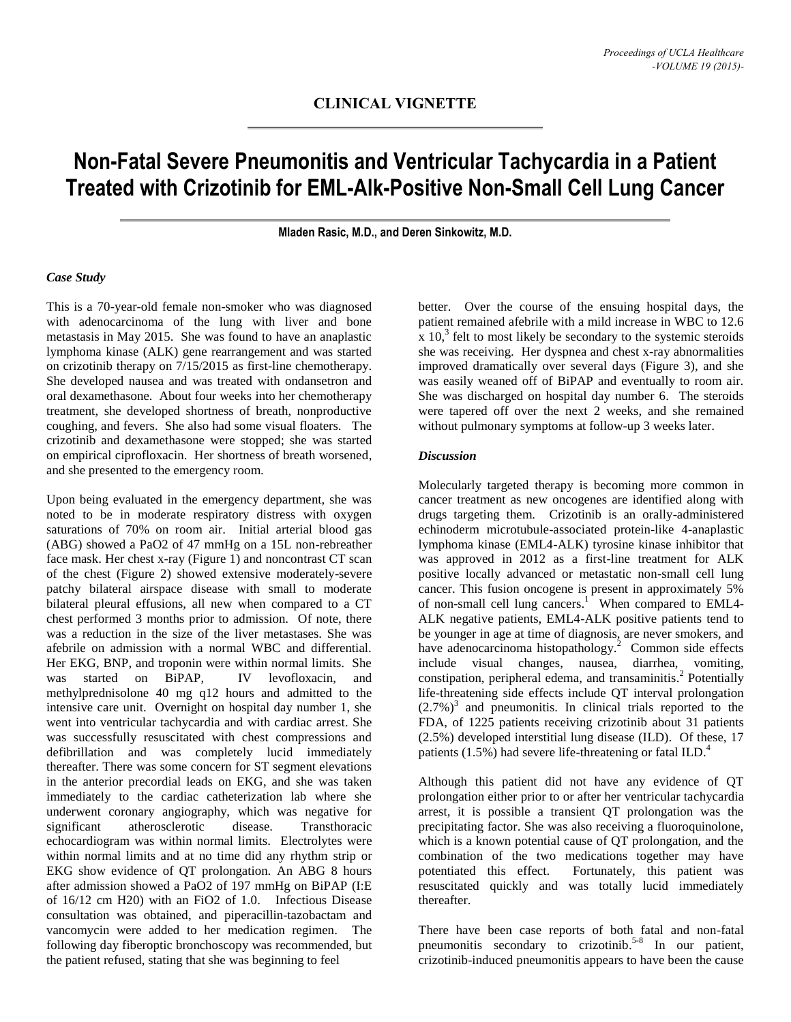# **Non-Fatal Severe Pneumonitis and Ventricular Tachycardia in a Patient Treated with Crizotinib for EML-Alk-Positive Non-Small Cell Lung Cancer**

**Mladen Rasic, M.D., and Deren Sinkowitz, M.D.**

### *Case Study*

This is a 70-year-old female non-smoker who was diagnosed with adenocarcinoma of the lung with liver and bone metastasis in May 2015. She was found to have an anaplastic lymphoma kinase (ALK) gene rearrangement and was started on crizotinib therapy on 7/15/2015 as first-line chemotherapy. She developed nausea and was treated with ondansetron and oral dexamethasone. About four weeks into her chemotherapy treatment, she developed shortness of breath, nonproductive coughing, and fevers. She also had some visual floaters. The crizotinib and dexamethasone were stopped; she was started on empirical ciprofloxacin. Her shortness of breath worsened, and she presented to the emergency room.

Upon being evaluated in the emergency department, she was noted to be in moderate respiratory distress with oxygen saturations of 70% on room air. Initial arterial blood gas (ABG) showed a PaO2 of 47 mmHg on a 15L non-rebreather face mask. Her chest x-ray (Figure 1) and noncontrast CT scan of the chest (Figure 2) showed extensive moderately-severe patchy bilateral airspace disease with small to moderate bilateral pleural effusions, all new when compared to a CT chest performed 3 months prior to admission. Of note, there was a reduction in the size of the liver metastases. She was afebrile on admission with a normal WBC and differential. Her EKG, BNP, and troponin were within normal limits. She was started on BiPAP, IV levofloxacin, and methylprednisolone 40 mg q12 hours and admitted to the intensive care unit. Overnight on hospital day number 1, she went into ventricular tachycardia and with cardiac arrest. She was successfully resuscitated with chest compressions and defibrillation and was completely lucid immediately thereafter. There was some concern for ST segment elevations in the anterior precordial leads on EKG, and she was taken immediately to the cardiac catheterization lab where she underwent coronary angiography, which was negative for significant atherosclerotic disease. Transthoracic echocardiogram was within normal limits. Electrolytes were within normal limits and at no time did any rhythm strip or EKG show evidence of QT prolongation. An ABG 8 hours after admission showed a PaO2 of 197 mmHg on BiPAP (I:E of 16/12 cm H20) with an FiO2 of 1.0. Infectious Disease consultation was obtained, and piperacillin-tazobactam and vancomycin were added to her medication regimen. The following day fiberoptic bronchoscopy was recommended, but the patient refused, stating that she was beginning to feel

better. Over the course of the ensuing hospital days, the patient remained afebrile with a mild increase in WBC to 12.6  $\int x$  10,<sup>3</sup> felt to most likely be secondary to the systemic steroids she was receiving. Her dyspnea and chest x-ray abnormalities improved dramatically over several days (Figure 3), and she was easily weaned off of BiPAP and eventually to room air. She was discharged on hospital day number 6. The steroids were tapered off over the next 2 weeks, and she remained without pulmonary symptoms at follow-up 3 weeks later.

### *Discussion*

Molecularly targeted therapy is becoming more common in cancer treatment as new oncogenes are identified along with drugs targeting them. Crizotinib is an orally-administered echinoderm microtubule-associated protein-like 4-anaplastic lymphoma kinase (EML4-ALK) tyrosine kinase inhibitor that was approved in 2012 as a first-line treatment for ALK positive locally advanced or metastatic non-small cell lung cancer. This fusion oncogene is present in approximately 5% of non-small cell lung cancers.<sup>1</sup> When compared to EML4-ALK negative patients, EML4-ALK positive patients tend to be younger in age at time of diagnosis, are never smokers, and have adenocarcinoma histopathology. 2 Common side effects include visual changes, nausea, diarrhea, vomiting, constipation, peripheral edema, and transaminitis. 2 Potentially life-threatening side effects include QT interval prolongation  $(2.7%)<sup>3</sup>$  and pneumonitis. In clinical trials reported to the FDA, of 1225 patients receiving crizotinib about 31 patients (2.5%) developed interstitial lung disease (ILD). Of these, 17 patients (1.5%) had severe life-threatening or fatal ILD.<sup>4</sup>

Although this patient did not have any evidence of QT prolongation either prior to or after her ventricular tachycardia arrest, it is possible a transient QT prolongation was the precipitating factor. She was also receiving a fluoroquinolone, which is a known potential cause of QT prolongation, and the combination of the two medications together may have potentiated this effect. Fortunately, this patient was resuscitated quickly and was totally lucid immediately thereafter.

There have been case reports of both fatal and non-fatal pneumonitis secondary to crizotinib. 5-8 In our patient, crizotinib-induced pneumonitis appears to have been the cause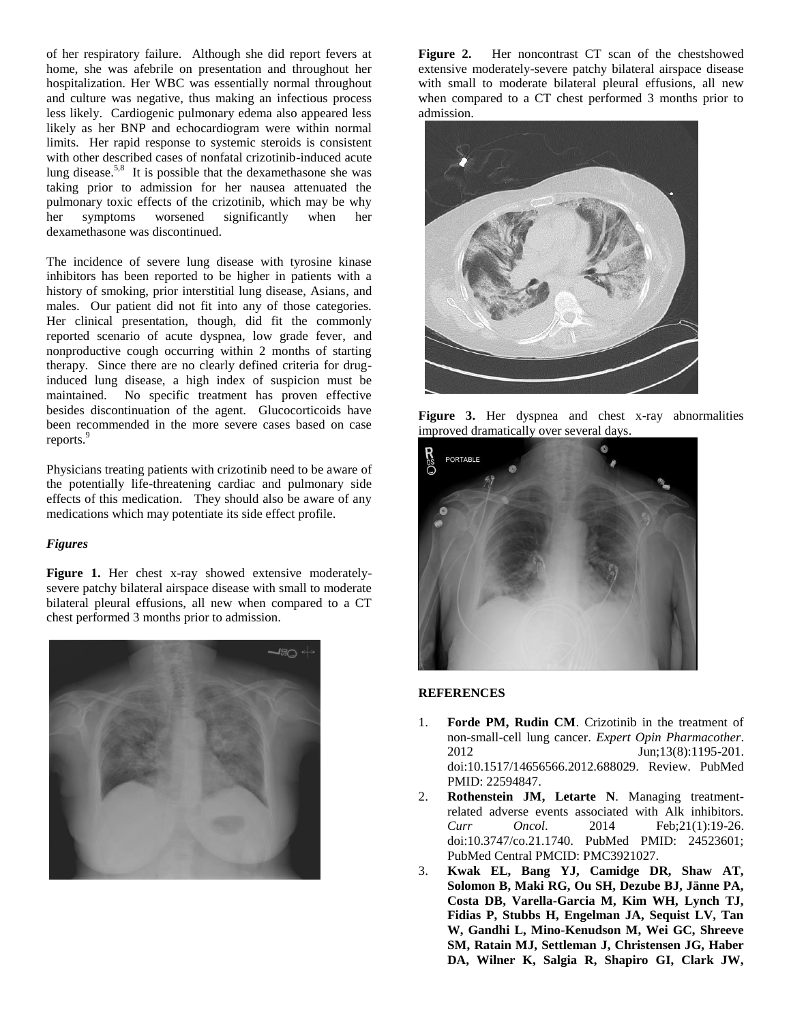of her respiratory failure. Although she did report fevers at home, she was afebrile on presentation and throughout her hospitalization. Her WBC was essentially normal throughout and culture was negative, thus making an infectious process less likely. Cardiogenic pulmonary edema also appeared less likely as her BNP and echocardiogram were within normal limits. Her rapid response to systemic steroids is consistent with other described cases of nonfatal crizotinib-induced acute lung disease.<sup>5,8</sup> It is possible that the dexamethasone she was taking prior to admission for her nausea attenuated the pulmonary toxic effects of the crizotinib, which may be why her symptoms worsened significantly when her dexamethasone was discontinued.

The incidence of severe lung disease with tyrosine kinase inhibitors has been reported to be higher in patients with a history of smoking, prior interstitial lung disease, Asians, and males. Our patient did not fit into any of those categories. Her clinical presentation, though, did fit the commonly reported scenario of acute dyspnea, low grade fever, and nonproductive cough occurring within 2 months of starting therapy. Since there are no clearly defined criteria for druginduced lung disease, a high index of suspicion must be maintained. No specific treatment has proven effective besides discontinuation of the agent. Glucocorticoids have been recommended in the more severe cases based on case reports. 9

Physicians treating patients with crizotinib need to be aware of the potentially life-threatening cardiac and pulmonary side effects of this medication. They should also be aware of any medications which may potentiate its side effect profile.

#### *Figures*

**Figure 1.** Her chest x-ray showed extensive moderatelysevere patchy bilateral airspace disease with small to moderate bilateral pleural effusions, all new when compared to a CT chest performed 3 months prior to admission.



**Figure 2.** Her noncontrast CT scan of the chestshowed extensive moderately-severe patchy bilateral airspace disease with small to moderate bilateral pleural effusions, all new when compared to a CT chest performed 3 months prior to admission.



**Figure 3.** Her dyspnea and chest x-ray abnormalities improved dramatically over several days.



## **REFERENCES**

- 1. **Forde PM, Rudin CM**. Crizotinib in the treatment of non-small-cell lung cancer. *Expert Opin Pharmacother*. 2012 **Jun**;13(8):1195-201. doi:10.1517/14656566.2012.688029. Review. PubMed PMID: 22594847.
- 2. **Rothenstein JM, Letarte N**. Managing treatmentrelated adverse events associated with Alk inhibitors. *Curr Oncol*. 2014 Feb;21(1):19-26. doi:10.3747/co.21.1740. PubMed PMID: 24523601; PubMed Central PMCID: PMC3921027.
- 3. **Kwak EL, Bang YJ, Camidge DR, Shaw AT, Solomon B, Maki RG, Ou SH, Dezube BJ, Jänne PA, Costa DB, Varella-Garcia M, Kim WH, Lynch TJ, Fidias P, Stubbs H, Engelman JA, Sequist LV, Tan W, Gandhi L, Mino-Kenudson M, Wei GC, Shreeve SM, Ratain MJ, Settleman J, Christensen JG, Haber DA, Wilner K, Salgia R, Shapiro GI, Clark JW,**